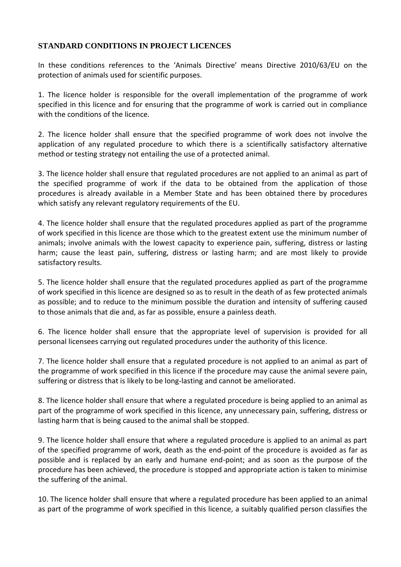## **STANDARD CONDITIONS IN PROJECT LICENCES**

In these conditions references to the 'Animals Directive' means Directive 2010/63/EU on the protection of animals used for scientific purposes.

1. The licence holder is responsible for the overall implementation of the programme of work specified in this licence and for ensuring that the programme of work is carried out in compliance with the conditions of the licence.

2. The licence holder shall ensure that the specified programme of work does not involve the application of any regulated procedure to which there is a scientifically satisfactory alternative method or testing strategy not entailing the use of a protected animal.

3. The licence holder shall ensure that regulated procedures are not applied to an animal as part of the specified programme of work if the data to be obtained from the application of those procedures is already available in a Member State and has been obtained there by procedures which satisfy any relevant regulatory requirements of the EU.

4. The licence holder shall ensure that the regulated procedures applied as part of the programme of work specified in this licence are those which to the greatest extent use the minimum number of animals; involve animals with the lowest capacity to experience pain, suffering, distress or lasting harm; cause the least pain, suffering, distress or lasting harm; and are most likely to provide satisfactory results.

5. The licence holder shall ensure that the regulated procedures applied as part of the programme of work specified in this licence are designed so as to result in the death of as few protected animals as possible; and to reduce to the minimum possible the duration and intensity of suffering caused to those animals that die and, as far as possible, ensure a painless death.

6. The licence holder shall ensure that the appropriate level of supervision is provided for all personal licensees carrying out regulated procedures under the authority of this licence.

7. The licence holder shall ensure that a regulated procedure is not applied to an animal as part of the programme of work specified in this licence if the procedure may cause the animal severe pain, suffering or distress that is likely to be long-lasting and cannot be ameliorated.

8. The licence holder shall ensure that where a regulated procedure is being applied to an animal as part of the programme of work specified in this licence, any unnecessary pain, suffering, distress or lasting harm that is being caused to the animal shall be stopped.

9. The licence holder shall ensure that where a regulated procedure is applied to an animal as part of the specified programme of work, death as the end-point of the procedure is avoided as far as possible and is replaced by an early and humane end-point; and as soon as the purpose of the procedure has been achieved, the procedure is stopped and appropriate action is taken to minimise the suffering of the animal.

10. The licence holder shall ensure that where a regulated procedure has been applied to an animal as part of the programme of work specified in this licence, a suitably qualified person classifies the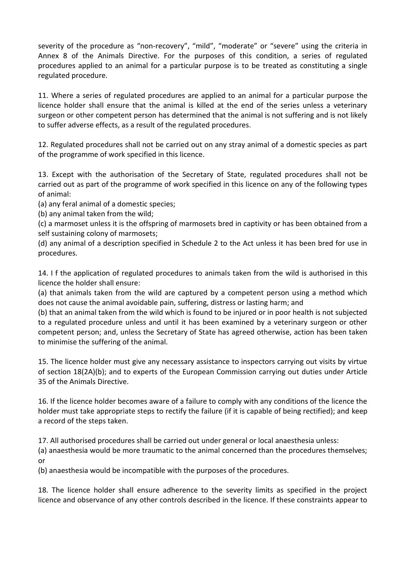severity of the procedure as "non-recovery", "mild", "moderate" or "severe" using the criteria in Annex 8 of the Animals Directive. For the purposes of this condition, a series of regulated procedures applied to an animal for a particular purpose is to be treated as constituting a single regulated procedure.

11. Where a series of regulated procedures are applied to an animal for a particular purpose the licence holder shall ensure that the animal is killed at the end of the series unless a veterinary surgeon or other competent person has determined that the animal is not suffering and is not likely to suffer adverse effects, as a result of the regulated procedures.

12. Regulated procedures shall not be carried out on any stray animal of a domestic species as part of the programme of work specified in this licence.

13. Except with the authorisation of the Secretary of State, regulated procedures shall not be carried out as part of the programme of work specified in this licence on any of the following types of animal:

(a) any feral animal of a domestic species;

(b) any animal taken from the wild;

(c) a marmoset unless it is the offspring of marmosets bred in captivity or has been obtained from a self sustaining colony of marmosets;

(d) any animal of a description specified in Schedule 2 to the Act unless it has been bred for use in procedures.

14. I f the application of regulated procedures to animals taken from the wild is authorised in this licence the holder shall ensure:

(a) that animals taken from the wild are captured by a competent person using a method which does not cause the animal avoidable pain, suffering, distress or lasting harm; and

(b) that an animal taken from the wild which is found to be injured or in poor health is not subjected to a regulated procedure unless and until it has been examined by a veterinary surgeon or other competent person; and, unless the Secretary of State has agreed otherwise, action has been taken to minimise the suffering of the animal.

15. The licence holder must give any necessary assistance to inspectors carrying out visits by virtue of section 18(2A)(b); and to experts of the European Commission carrying out duties under Article 35 of the Animals Directive.

16. If the licence holder becomes aware of a failure to comply with any conditions of the licence the holder must take appropriate steps to rectify the failure (if it is capable of being rectified); and keep a record of the steps taken.

17. All authorised procedures shall be carried out under general or local anaesthesia unless:

(a) anaesthesia would be more traumatic to the animal concerned than the procedures themselves; or

(b) anaesthesia would be incompatible with the purposes of the procedures.

18. The licence holder shall ensure adherence to the severity limits as specified in the project licence and observance of any other controls described in the licence. If these constraints appear to